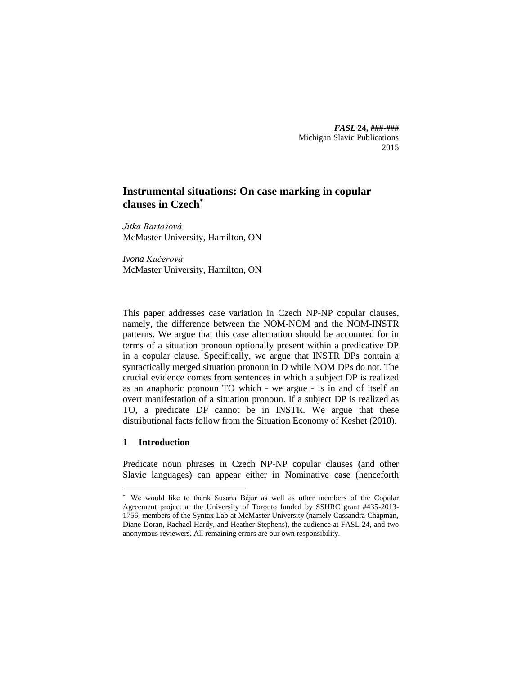*FASL* **24, ###-###** Michigan Slavic Publications 2015

# **Instrumental situations: On case marking in copular clauses in Czech\***

*Jitka Bartošová* McMaster University, Hamilton, ON

*Ivona Kučerová* McMaster University, Hamilton, ON

This paper addresses case variation in Czech NP-NP copular clauses, namely, the difference between the NOM-NOM and the NOM-INSTR patterns. We argue that this case alternation should be accounted for in terms of a situation pronoun optionally present within a predicative DP in a copular clause. Specifically, we argue that INSTR DPs contain a syntactically merged situation pronoun in D while NOM DPs do not. The crucial evidence comes from sentences in which a subject DP is realized as an anaphoric pronoun TO which - we argue - is in and of itself an overt manifestation of a situation pronoun. If a subject DP is realized as TO, a predicate DP cannot be in INSTR. We argue that these distributional facts follow from the Situation Economy of Keshet (2010).

## **1 Introduction**

 $\overline{a}$ 

Predicate noun phrases in Czech NP-NP copular clauses (and other Slavic languages) can appear either in Nominative case (henceforth

<sup>\*</sup> We would like to thank Susana Béjar as well as other members of the Copular Agreement project at the University of Toronto funded by SSHRC grant #435-2013- 1756, members of the Syntax Lab at McMaster University (namely Cassandra Chapman, Diane Doran, Rachael Hardy, and Heather Stephens), the audience at FASL 24, and two anonymous reviewers. All remaining errors are our own responsibility.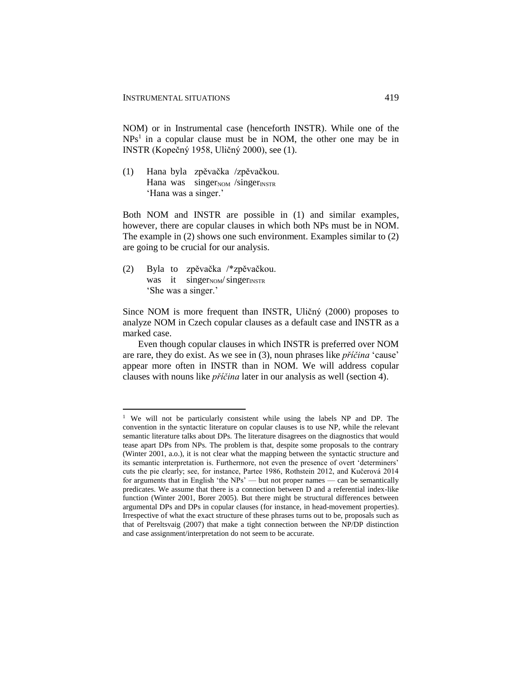NOM) or in Instrumental case (henceforth INSTR). While one of the  $NPs<sup>1</sup>$  in a copular clause must be in NOM, the other one may be in INSTR (Kopečný 1958, Uličný 2000), see (1).

(1) Hana byla zpěvačka /zpěvačkou. Hana was singer $_{\text{NOM}}$  /singer $_{\text{INSTR}}$ 'Hana was a singer.'

Both NOM and INSTR are possible in (1) and similar examples, however, there are copular clauses in which both NPs must be in NOM. The example in (2) shows one such environment. Examples similar to (2) are going to be crucial for our analysis.

(2) Byla to zpěvačka /\*zpěvačkou. was it singer $_{\text{NOM}}$ /singer $_{\text{INSTR}}$ 'She was a singer.'

 $\overline{a}$ 

Since NOM is more frequent than INSTR, Uličný (2000) proposes to analyze NOM in Czech copular clauses as a default case and INSTR as a marked case.

Even though copular clauses in which INSTR is preferred over NOM are rare, they do exist. As we see in (3), noun phrases like *příčina* 'cause' appear more often in INSTR than in NOM. We will address copular clauses with nouns like *příčina* later in our analysis as well (section 4).

<sup>&</sup>lt;sup>1</sup> We will not be particularly consistent while using the labels NP and DP. The convention in the syntactic literature on copular clauses is to use NP, while the relevant semantic literature talks about DPs. The literature disagrees on the diagnostics that would tease apart DPs from NPs. The problem is that, despite some proposals to the contrary (Winter 2001, a.o.), it is not clear what the mapping between the syntactic structure and its semantic interpretation is. Furthermore, not even the presence of overt 'determiners' cuts the pie clearly; see, for instance, Partee 1986, Rothstein 2012, and Kučerová 2014 for arguments that in English 'the NPs' — but not proper names — can be semantically predicates. We assume that there is a connection between D and a referential index-like function (Winter 2001, Borer 2005). But there might be structural differences between argumental DPs and DPs in copular clauses (for instance, in head-movement properties). Irrespective of what the exact structure of these phrases turns out to be, proposals such as that of Pereltsvaig (2007) that make a tight connection between the NP/DP distinction and case assignment/interpretation do not seem to be accurate.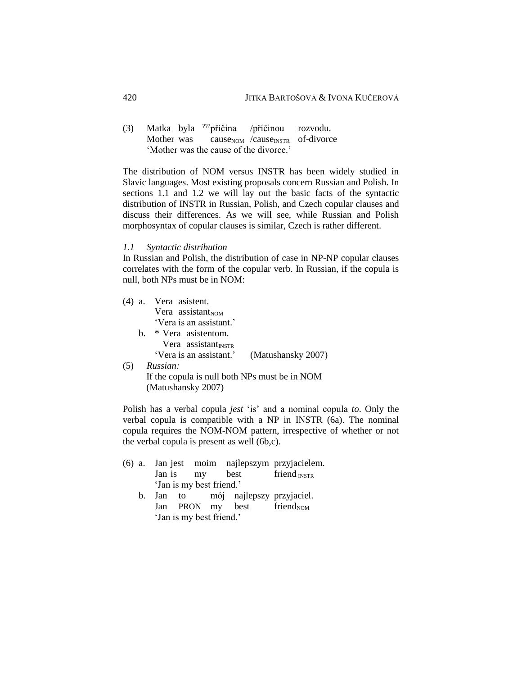(3) Matka byla ???příčina /příčinou rozvodu. Mother was cause<sub>NOM</sub> /cause<sub>INSTR</sub> of-divorce 'Mother was the cause of the divorce.'

The distribution of NOM versus INSTR has been widely studied in Slavic languages. Most existing proposals concern Russian and Polish. In sections 1.1 and 1.2 we will lay out the basic facts of the syntactic distribution of INSTR in Russian, Polish, and Czech copular clauses and discuss their differences. As we will see, while Russian and Polish morphosyntax of copular clauses is similar, Czech is rather different.

#### *1.1 Syntactic distribution*

In Russian and Polish, the distribution of case in NP-NP copular clauses correlates with the form of the copular verb. In Russian, if the copula is null, both NPs must be in NOM:

|     |    | (4) a. Vera asistent.                      |
|-----|----|--------------------------------------------|
|     |    | Vera assistant $_{\text{NOM}}$             |
|     |    | 'Vera is an assistant.'                    |
|     | h. | * Vera asistentom.                         |
|     |    | Vera assistant <sub>INSTR</sub>            |
|     |    | 'Vera is an assistant.' (Matushansky 2007) |
| (5) |    | Russian:                                   |

If the copula is null both NPs must be in NOM (Matushansky 2007)

Polish has a verbal copula *jest* 'is' and a nominal copula *to*. Only the verbal copula is compatible with a NP in INSTR (6a). The nominal copula requires the NOM-NOM pattern, irrespective of whether or not the verbal copula is present as well (6b,c).

- (6) a. Jan jest moim najlepszym przyjacielem. Jan is  $\frac{my}{m}$  best friend  $\frac{mSTR}{mST}$ 'Jan is my best friend.'
	- b. Jan to mój najlepszy przyjaciel. Jan PRON my best friend $_{NOM}$ 'Jan is my best friend.'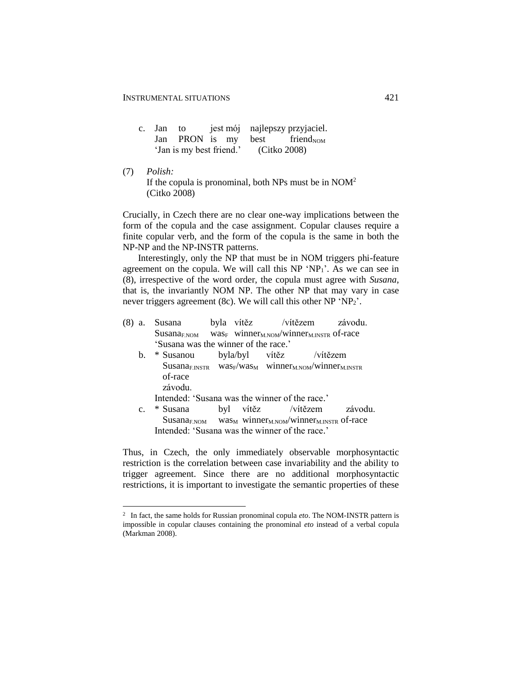$\overline{a}$ 

| c. Jan to                             |  |  |  |  | jest mój najlepszy przyjaciel.            |
|---------------------------------------|--|--|--|--|-------------------------------------------|
|                                       |  |  |  |  | Jan PRON is my best friend <sub>NOM</sub> |
| 'Jan is my best friend.' (Citko 2008) |  |  |  |  |                                           |

(7) *Polish:* If the copula is pronominal, both NPs must be in NOM<sup>2</sup> (Citko 2008)

Crucially, in Czech there are no clear one-way implications between the form of the copula and the case assignment. Copular clauses require a finite copular verb, and the form of the copula is the same in both the NP-NP and the NP-INSTR patterns.

Interestingly, only the NP that must be in NOM triggers phi-feature agreement on the copula. We will call this NP 'NP1'. As we can see in (8), irrespective of the word order, the copula must agree with *Susana*, that is, the invariantly NOM NP. The other NP that may vary in case never triggers agreement (8c). We will call this other  $NP 'NP_2'$ .

- (8) a. Susana byla vítěz /vítězem závodu.  $S$ usana<sub>F.NOM</sub> was<sub>F</sub> winner<sub>M.NOM</sub>/winner<sub>M.INSTR</sub> of-race 'Susana was the winner of the race.'
	- b. \* Susanou byla/byl vítěz /vítězem  $S$ usana<sub>F.INSTR</sub> was<sub>F</sub>/was<sub>M</sub> winner<sub>M.NOM</sub>/winner<sub>M.INSTR</sub> of-race závodu. Intended: 'Susana was the winner of the race.'
	- c. \* Susana byl vítěz /vítězem závodu.  $S$ usana<sub>F.NOM</sub> was<sub>M</sub> winner<sub>M.NOM</sub>/winner<sub>M.INSTR</sub> of-race Intended: 'Susana was the winner of the race.'

Thus, in Czech, the only immediately observable morphosyntactic restriction is the correlation between case invariability and the ability to trigger agreement. Since there are no additional morphosyntactic restrictions, it is important to investigate the semantic properties of these

<sup>2</sup> In fact, the same holds for Russian pronominal copula *eto*. The NOM-INSTR pattern is impossible in copular clauses containing the pronominal *eto* instead of a verbal copula (Markman 2008).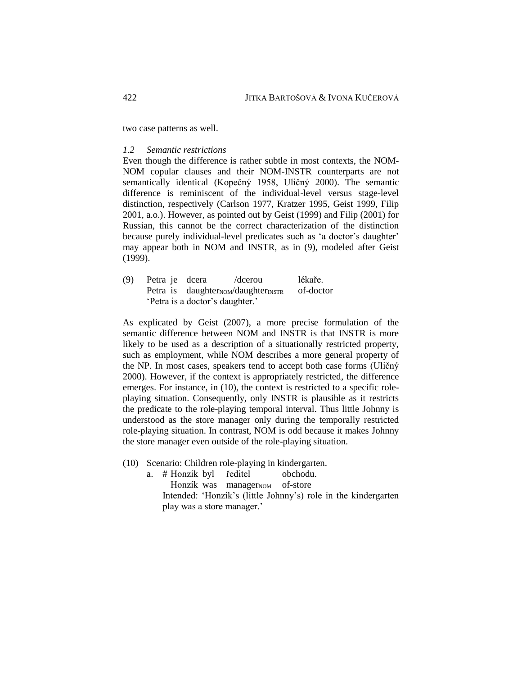two case patterns as well.

### *1.2 Semantic restrictions*

Even though the difference is rather subtle in most contexts, the NOM-NOM copular clauses and their NOM-INSTR counterparts are not semantically identical (Kopečný 1958, Uličný 2000). The semantic difference is reminiscent of the individual-level versus stage-level distinction, respectively (Carlson 1977, Kratzer 1995, Geist 1999, Filip 2001, a.o.). However, as pointed out by Geist (1999) and Filip (2001) for Russian, this cannot be the correct characterization of the distinction because purely individual-level predicates such as 'a doctor's daughter' may appear both in NOM and INSTR, as in (9), modeled after Geist (1999).

(9) Petra je dcera /dcerou lékaře. Petra is daughter $_{\text{NOM}}$ /daughter $_{\text{INSTR}}$  of-doctor 'Petra is a doctor's daughter.'

As explicated by Geist (2007), a more precise formulation of the semantic difference between NOM and INSTR is that INSTR is more likely to be used as a description of a situationally restricted property, such as employment, while NOM describes a more general property of the NP. In most cases, speakers tend to accept both case forms (Uličný 2000). However, if the context is appropriately restricted, the difference emerges. For instance, in (10), the context is restricted to a specific roleplaying situation. Consequently, only INSTR is plausible as it restricts the predicate to the role-playing temporal interval. Thus little Johnny is understood as the store manager only during the temporally restricted role-playing situation. In contrast, NOM is odd because it makes Johnny the store manager even outside of the role-playing situation.

- (10) Scenario: Children role-playing in kindergarten.
	- a. # Honzík byl ředitel obchodu. Honzík was manager<sub>NOM</sub> of-store Intended: 'Honzík's (little Johnny's) role in the kindergarten play was a store manager.'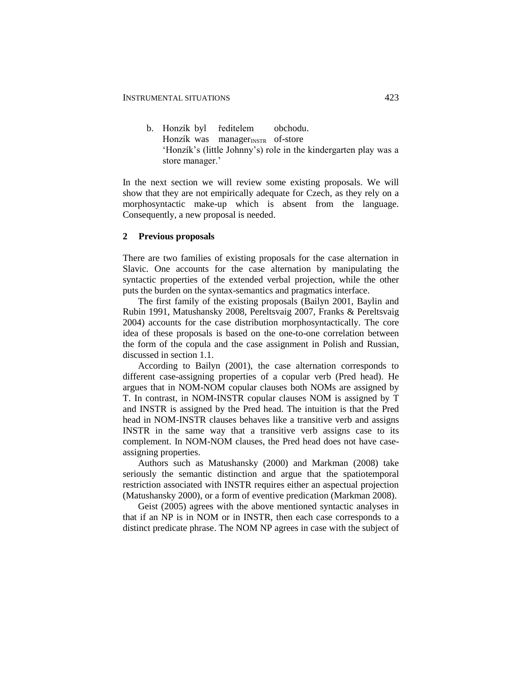b. Honzík byl ředitelem obchodu. Honzík was manager $_{\text{INSTR}}$  of-store 'Honzík's (little Johnny's) role in the kindergarten play was a store manager.'

In the next section we will review some existing proposals. We will show that they are not empirically adequate for Czech, as they rely on a morphosyntactic make-up which is absent from the language. Consequently, a new proposal is needed.

#### **2 Previous proposals**

There are two families of existing proposals for the case alternation in Slavic. One accounts for the case alternation by manipulating the syntactic properties of the extended verbal projection, while the other puts the burden on the syntax-semantics and pragmatics interface.

The first family of the existing proposals (Bailyn 2001, Baylin and Rubin 1991, Matushansky 2008, Pereltsvaig 2007, Franks & Pereltsvaig 2004) accounts for the case distribution morphosyntactically. The core idea of these proposals is based on the one-to-one correlation between the form of the copula and the case assignment in Polish and Russian, discussed in section 1.1.

According to Bailyn (2001), the case alternation corresponds to different case-assigning properties of a copular verb (Pred head). He argues that in NOM-NOM copular clauses both NOMs are assigned by T. In contrast, in NOM-INSTR copular clauses NOM is assigned by T and INSTR is assigned by the Pred head. The intuition is that the Pred head in NOM-INSTR clauses behaves like a transitive verb and assigns INSTR in the same way that a transitive verb assigns case to its complement. In NOM-NOM clauses, the Pred head does not have caseassigning properties.

Authors such as Matushansky (2000) and Markman (2008) take seriously the semantic distinction and argue that the spatiotemporal restriction associated with INSTR requires either an aspectual projection (Matushansky 2000), or a form of eventive predication (Markman 2008).

Geist (2005) agrees with the above mentioned syntactic analyses in that if an NP is in NOM or in INSTR, then each case corresponds to a distinct predicate phrase. The NOM NP agrees in case with the subject of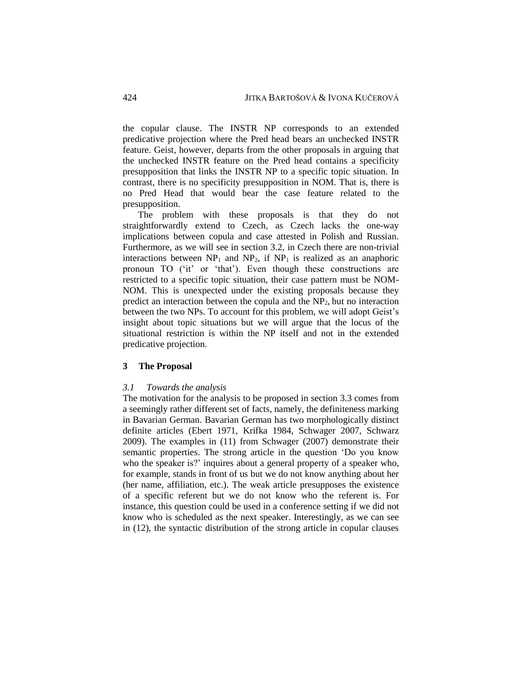the copular clause. The INSTR NP corresponds to an extended predicative projection where the Pred head bears an unchecked INSTR feature. Geist, however, departs from the other proposals in arguing that the unchecked INSTR feature on the Pred head contains a specificity presupposition that links the INSTR NP to a specific topic situation. In contrast, there is no specificity presupposition in NOM. That is, there is no Pred Head that would bear the case feature related to the presupposition.

The problem with these proposals is that they do not straightforwardly extend to Czech, as Czech lacks the one-way implications between copula and case attested in Polish and Russian. Furthermore, as we will see in section 3.2, in Czech there are non-trivial interactions between  $NP_1$  and  $NP_2$ , if  $NP_1$  is realized as an anaphoric pronoun TO ('it' or 'that'). Even though these constructions are restricted to a specific topic situation, their case pattern must be NOM-NOM. This is unexpected under the existing proposals because they predict an interaction between the copula and the NP2, but no interaction between the two NPs. To account for this problem, we will adopt Geist's insight about topic situations but we will argue that the locus of the situational restriction is within the NP itself and not in the extended predicative projection.

#### **3 The Proposal**

#### *3.1 Towards the analysis*

The motivation for the analysis to be proposed in section 3.3 comes from a seemingly rather different set of facts, namely, the definiteness marking in Bavarian German. Bavarian German has two morphologically distinct definite articles (Ebert 1971, Krifka 1984, Schwager 2007, Schwarz 2009). The examples in (11) from Schwager (2007) demonstrate their semantic properties. The strong article in the question 'Do you know who the speaker is?' inquires about a general property of a speaker who, for example, stands in front of us but we do not know anything about her (her name, affiliation, etc.). The weak article presupposes the existence of a specific referent but we do not know who the referent is. For instance, this question could be used in a conference setting if we did not know who is scheduled as the next speaker. Interestingly, as we can see in (12), the syntactic distribution of the strong article in copular clauses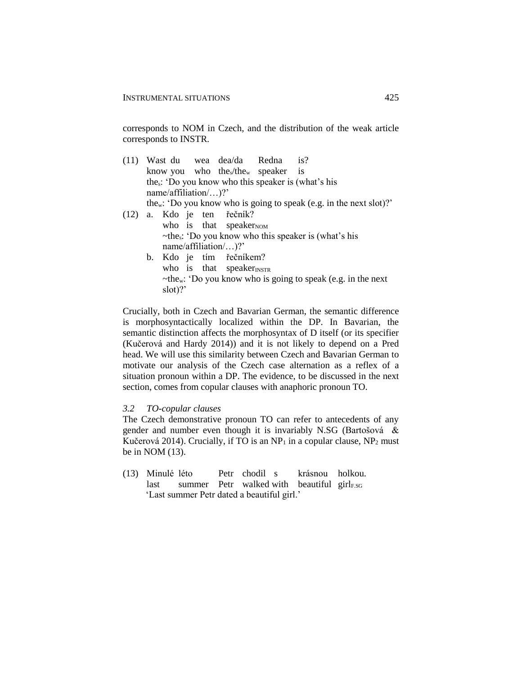corresponds to NOM in Czech, and the distribution of the weak article corresponds to INSTR.

(11) Wast du wea dea/da Redna is? know you who the  $k$ the speaker is thes: 'Do you know who this speaker is (what's his name/affiliation/…)?' thew: 'Do you know who is going to speak (e.g. in the next slot)?' (12) a. Kdo je ten řečník? who is that speaker $_{\text{NOM}}$  $\sim$ the<sub>s</sub>: 'Do you know who this speaker is (what's his name/affiliation/…)?' b. Kdo je tím řečníkem? who is that speaker $_{\text{INSTR}}$  $\sim$ the<sub>w</sub>: 'Do you know who is going to speak (e.g. in the next

Crucially, both in Czech and Bavarian German, the semantic difference is morphosyntactically localized within the DP. In Bavarian, the semantic distinction affects the morphosyntax of D itself (or its specifier (Kučerová and Hardy 2014)) and it is not likely to depend on a Pred head. We will use this similarity between Czech and Bavarian German to motivate our analysis of the Czech case alternation as a reflex of a situation pronoun within a DP. The evidence, to be discussed in the next section, comes from copular clauses with anaphoric pronoun TO.

### *3.2 TO-copular clauses*

slot)?'

The Czech demonstrative pronoun TO can refer to antecedents of any gender and number even though it is invariably N.SG (Bartošová & Kučerová 2014). Crucially, if TO is an  $NP<sub>1</sub>$  in a copular clause,  $NP<sub>2</sub>$  must be in NOM (13).

(13) Minulé léto Petr chodil s krásnou holkou. last summer Petr walked with beautiful girl $_{ESG}$ 'Last summer Petr dated a beautiful girl.'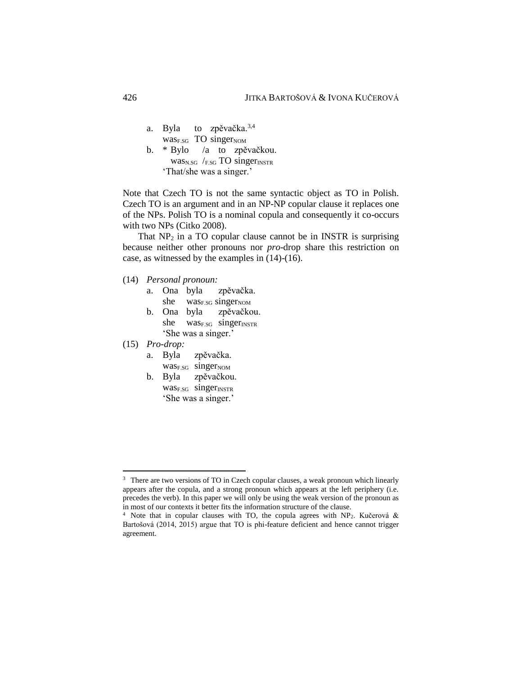- a. Byla to zpěvačka.<sup>3,4</sup>  $was<sub>ESG</sub>$  TO singer<sub>NOM</sub>
- b. \* Bylo /a to zpěvačkou.  $was<sub>N.SG</sub>$  /F.SG TO singer $_{INSTR}$ 'That/she was a singer.'

Note that Czech TO is not the same syntactic object as TO in Polish. Czech TO is an argument and in an NP-NP copular clause it replaces one of the NPs. Polish TO is a nominal copula and consequently it co-occurs with two NPs (Citko 2008).

That  $NP<sub>2</sub>$  in a TO copular clause cannot be in INSTR is surprising because neither other pronouns nor *pro*-drop share this restriction on case, as witnessed by the examples in (14)-(16).

- (14) *Personal pronoun:*
	- a. Ona byla zpěvačka. she was<sub>E.SG</sub> singer<sub>NOM</sub>
	- b. Ona byla zpěvačkou. she was<sub>F.SG</sub> singer<sub>INSTR</sub> 'She was a singer.'

(15) *Pro-drop:*

- a. Byla zpěvačka.
	- was<sub>F.SG</sub> singerNOM
- b. Byla zpěvačkou.  $was<sub>F.SG</sub>$  singer $<sub>INSTR</sub>$ </sub> 'She was a singer.'

<sup>&</sup>lt;sup>3</sup> There are two versions of TO in Czech copular clauses, a weak pronoun which linearly appears after the copula, and a strong pronoun which appears at the left periphery (i.e. precedes the verb). In this paper we will only be using the weak version of the pronoun as in most of our contexts it better fits the information structure of the clause.

<sup>&</sup>lt;sup>4</sup> Note that in copular clauses with TO, the copula agrees with NP<sub>2</sub>. Kučerová & Bartošová (2014, 2015) argue that TO is phi-feature deficient and hence cannot trigger agreement.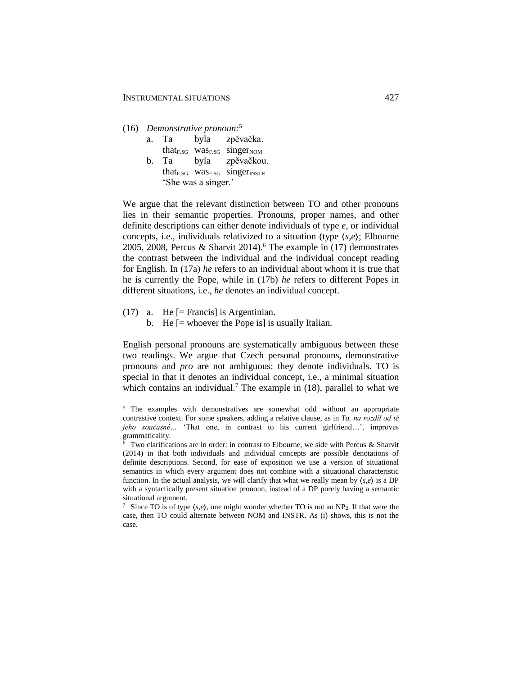#### (16) *Demonstrative pronoun:*<sup>5</sup>

| a. Ta | byla | zpěvačka.                                                      |
|-------|------|----------------------------------------------------------------|
|       |      | that <sub>F.SG</sub> was <sub>F.SG</sub> singer <sub>NOM</sub> |
| b. Ta |      | byla zpěvačkou.                                                |

that<sub>F.SG</sub> was<sub>F.SG</sub> singer $_{INSTR}$ 'She was a singer.'

We argue that the relevant distinction between TO and other pronouns lies in their semantic properties. Pronouns, proper names, and other definite descriptions can either denote individuals of type *e,* or individual concepts, i.e., individuals relativized to a situation (type ⟨*s*,*e*⟩; Elbourne 2005, 2008, Percus & Sharvit 2014). <sup>6</sup> The example in (17) demonstrates the contrast between the individual and the individual concept reading for English. In (17a) *he* refers to an individual about whom it is true that he is currently the Pope, while in (17b) *he* refers to different Popes in different situations, i.e., *he* denotes an individual concept.

(17) a. He [= Francis] is Argentinian.

 $\overline{a}$ 

b. He [= whoever the Pope is] is usually Italian.

English personal pronouns are systematically ambiguous between these two readings. We argue that Czech personal pronouns, demonstrative pronouns and *pro* are not ambiguous: they denote individuals. TO is special in that it denotes an individual concept, i.e., a minimal situation which contains an individual.<sup>7</sup> The example in  $(18)$ , parallel to what we

<sup>&</sup>lt;sup>5</sup> The examples with demonstratives are somewhat odd without an appropriate contrastive context. For some speakers, adding a relative clause, as in *Ta, na rozdíl od té jeho současné…* 'That one, in contrast to his current girlfriend…', improves grammaticality.

 $6$  Two clarifications are in order: in contrast to Elbourne, we side with Percus & Sharvit (2014) in that both individuals and individual concepts are possible denotations of definite descriptions. Second, for ease of exposition we use a version of situational semantics in which every argument does not combine with a situational characteristic function. In the actual analysis, we will clarify that what we really mean by  $\langle s, e \rangle$  is a DP with a syntactically present situation pronoun, instead of a DP purely having a semantic situational argument.

<sup>&</sup>lt;sup>7</sup> Since TO is of type  $\langle s, e \rangle$ , one might wonder whether TO is not an NP<sub>2</sub>. If that were the case, then TO could alternate between NOM and INSTR. As (i) shows, this is not the case.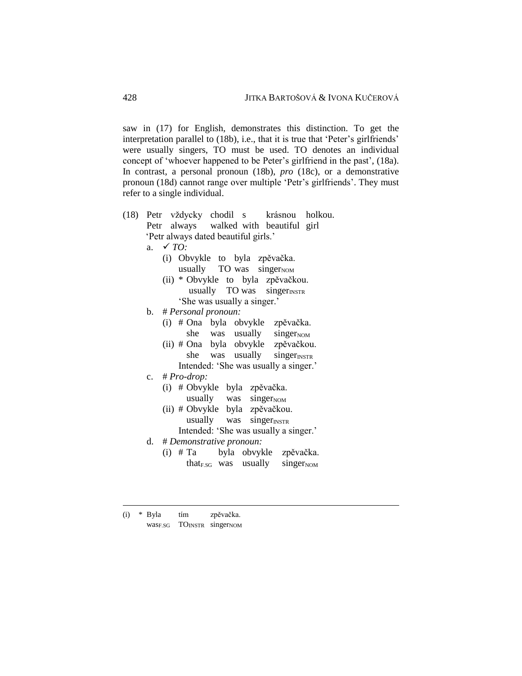saw in (17) for English, demonstrates this distinction. To get the interpretation parallel to (18b), i.e., that it is true that 'Peter's girlfriends' were usually singers, TO must be used. TO denotes an individual concept of 'whoever happened to be Peter's girlfriend in the past', (18a). In contrast, a personal pronoun (18b), *pro* (18c), or a demonstrative pronoun (18d) cannot range over multiple 'Petr's girlfriends'. They must refer to a single individual.

- (18) Petr vždycky chodil s krásnou holkou. Petr always walked with beautiful girl 'Petr always dated beautiful girls.'
	- a. *TO:*
		- (i) Obvykle to byla zpěvačka. usually  $TO$  was singer $_{NOM}$
		- (ii) \* Obvykle to byla zpěvačkou. usually  $TO was$  singer $<sub>INSTR</sub>$ </sub> 'She was usually a singer.'
	- b. # *Personal pronoun:*
		- (i) # Ona byla obvykle zpěvačka. she was usually singerNOM
		- (ii) # Ona byla obvykle zpěvačkou. she was usually singer $_{\text{INSTR}}$ 
			- Intended: 'She was usually a singer.'
	- c. # *Pro-drop:*
		- (i) # Obvykle byla zpěvačka. usually was singer $_{\text{NOM}}$
		- (ii) # Obvykle byla zpěvačkou. usually was singer $_{\text{INSTR}}$ 
			- Intended: 'She was usually a singer.'
	- d. # *Demonstrative pronoun:*
		- (i) # Ta byla obvykle zpěvačka. that $F_{.SG}$  was usually singer $_{NOM}$

<sup>(</sup>i) \* Byla tím zpěvačka. was<sub>F.SG</sub> TO<sub>INSTR</sub> singer<sub>NOM</sub>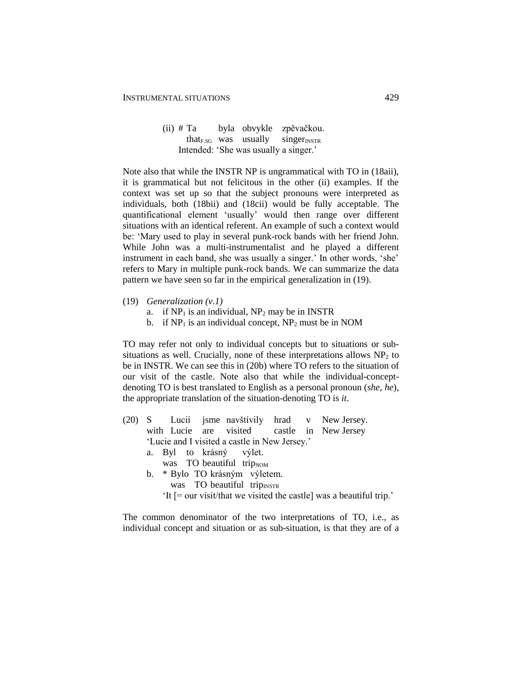(ii) # Ta byla obvykle zpěvačkou. that $_{ESG}$  was usually singer $_{INSTR}$ Intended: 'She was usually a singer.'

Note also that while the INSTR NP is ungrammatical with TO in (18aii), it is grammatical but not felicitous in the other (ii) examples. If the context was set up so that the subject pronouns were interpreted as individuals, both (18bii) and (18cii) would be fully acceptable. The quantificational element 'usually' would then range over different situations with an identical referent. An example of such a context would be: 'Mary used to play in several punk-rock bands with her friend John. While John was a multi-instrumentalist and he played a different instrument in each band, she was usually a singer.' In other words, 'she' refers to Mary in multiple punk-rock bands. We can summarize the data pattern we have seen so far in the empirical generalization in (19).

- (19) *Generalization (v.1)*
	- a. if  $NP_1$  is an individual,  $NP_2$  may be in INSTR
	- b. if  $NP_1$  is an individual concept,  $NP_2$  must be in NOM

TO may refer not only to individual concepts but to situations or subsituations as well. Crucially, none of these interpretations allows  $NP<sub>2</sub>$  to be in INSTR. We can see this in (20b) where TO refers to the situation of our visit of the castle. Note also that while the individual-conceptdenoting TO is best translated to English as a personal pronoun (*she*, *he*), the appropriate translation of the situation-denoting TO is *it*.

- (20) S Lucií jsme navštívily hrad v New Jersey. with Lucie are visited castle in New Jersey 'Lucie and I visited a castle in New Jersey.' a. Byl to krásný výlet. was TO beautiful trip $_{\text{NOM}}$ b. \* Bylo TO krásným výletem. was TO beautiful trip $_{\text{INSTR}}$ 
	- 'It [= our visit/that we visited the castle] was a beautiful trip.'

The common denominator of the two interpretations of TO, i.e., as individual concept and situation or as sub-situation, is that they are of a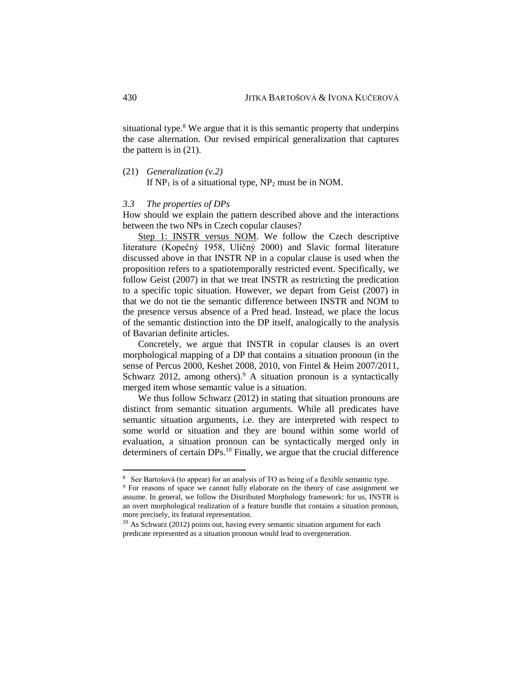situational type. $8$  We argue that it is this semantic property that underpins the case alternation. Our revised empirical generalization that captures the pattern is in (21).

(21) *Generalization (v.2)*

If  $NP_1$  is of a situational type,  $NP_2$  must be in NOM.

### *3.3 The properties of DPs*

How should we explain the pattern described above and the interactions between the two NPs in Czech copular clauses?

Step 1: INSTR versus NOM. We follow the Czech descriptive literature (Kopečný 1958, Uličný 2000) and Slavic formal literature discussed above in that INSTR NP in a copular clause is used when the proposition refers to a spatiotemporally restricted event. Specifically, we follow Geist (2007) in that we treat INSTR as restricting the predication to a specific topic situation. However, we depart from Geist (2007) in that we do not tie the semantic difference between INSTR and NOM to the presence versus absence of a Pred head. Instead, we place the locus of the semantic distinction into the DP itself, analogically to the analysis of Bavarian definite articles.

Concretely, we argue that INSTR in copular clauses is an overt morphological mapping of a DP that contains a situation pronoun (in the sense of Percus 2000, Keshet 2008, 2010, von Fintel & Heim 2007/2011, Schwarz 2012, among others).<sup>9</sup> A situation pronoun is a syntactically merged item whose semantic value is a situation.

We thus follow Schwarz (2012) in stating that situation pronouns are distinct from semantic situation arguments. While all predicates have semantic situation arguments, i.e. they are interpreted with respect to some world or situation and they are bound within some world of evaluation, a situation pronoun can be syntactically merged only in determiners of certain DPs.<sup>10</sup> Finally, we argue that the crucial difference

<sup>8</sup> See Bartošová (to appear) for an analysis of TO as being of a flexible semantic type.

<sup>&</sup>lt;sup>9</sup> For reasons of space we cannot fully elaborate on the theory of case assignment we assume. In general, we follow the Distributed Morphology framework: for us, INSTR is an overt morphological realization of a feature bundle that contains a situation pronoun, more precisely, its featural representation.

 $10$  As Schwarz (2012) points out, having every semantic situation argument for each predicate represented as a situation pronoun would lead to overgeneration.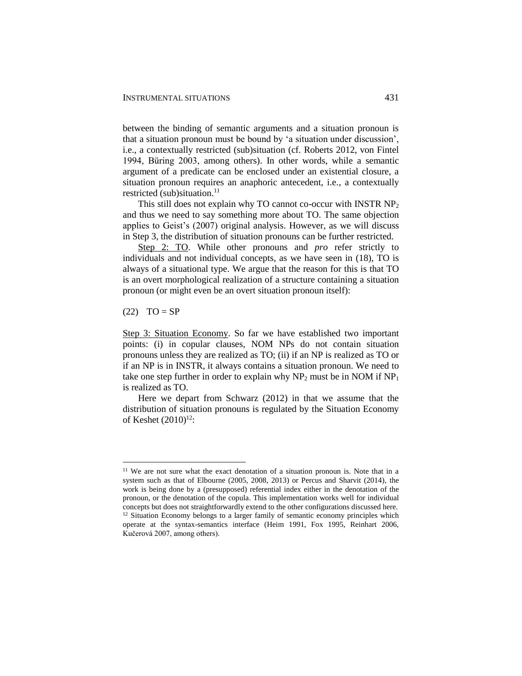between the binding of semantic arguments and a situation pronoun is that a situation pronoun must be bound by 'a situation under discussion', i.e., a contextually restricted (sub)situation (cf. Roberts 2012, von Fintel 1994, Büring 2003, among others). In other words, while a semantic argument of a predicate can be enclosed under an existential closure, a situation pronoun requires an anaphoric antecedent, i.e., a contextually restricted (sub)situation. $11$ 

This still does not explain why TO cannot co-occur with INSTR NP<sub>2</sub> and thus we need to say something more about TO. The same objection applies to Geist's (2007) original analysis. However, as we will discuss in Step 3, the distribution of situation pronouns can be further restricted.

Step 2: TO. While other pronouns and *pro* refer strictly to individuals and not individual concepts, as we have seen in (18), TO is always of a situational type. We argue that the reason for this is that TO is an overt morphological realization of a structure containing a situation pronoun (or might even be an overt situation pronoun itself):

 $(22)$  TO = SP

 $\overline{a}$ 

Step 3: Situation Economy. So far we have established two important points: (i) in copular clauses, NOM NPs do not contain situation pronouns unless they are realized as TO; (ii) if an NP is realized as TO or if an NP is in INSTR, it always contains a situation pronoun. We need to take one step further in order to explain why  $NP_2$  must be in NOM if  $NP_1$ is realized as TO.

Here we depart from Schwarz (2012) in that we assume that the distribution of situation pronouns is regulated by the Situation Economy of Keshet (2010)<sup>12</sup>:

<sup>&</sup>lt;sup>11</sup> We are not sure what the exact denotation of a situation pronoun is. Note that in a system such as that of Elbourne (2005, 2008, 2013) or Percus and Sharvit (2014), the work is being done by a (presupposed) referential index either in the denotation of the pronoun, or the denotation of the copula. This implementation works well for individual concepts but does not straightforwardly extend to the other configurations discussed here. <sup>12</sup> Situation Economy belongs to a larger family of semantic economy principles which operate at the syntax-semantics interface (Heim 1991, Fox 1995, Reinhart 2006, Kučerová 2007, among others).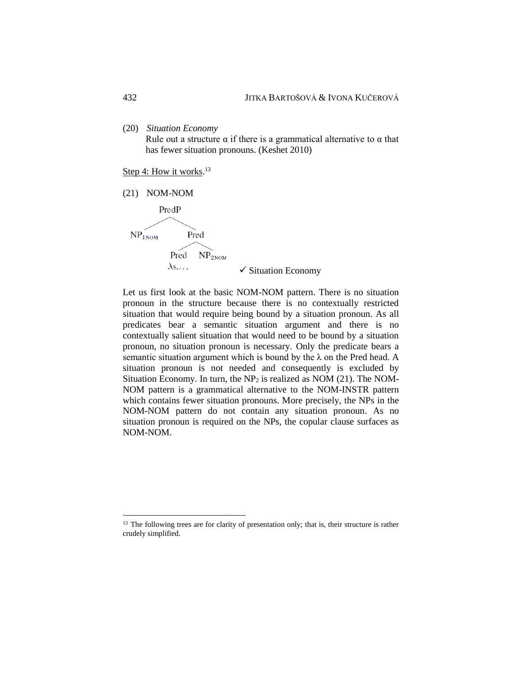(20) *Situation Economy*

Rule out a structure  $\alpha$  if there is a grammatical alternative to  $\alpha$  that has fewer situation pronouns. (Keshet 2010)

Step 4: How it works.<sup>13</sup>



Pred NP<sub>2NOM</sub>

 $\lambda$ s...

 $\checkmark$  Situation Economy

Let us first look at the basic NOM-NOM pattern. There is no situation pronoun in the structure because there is no contextually restricted situation that would require being bound by a situation pronoun. As all predicates bear a semantic situation argument and there is no contextually salient situation that would need to be bound by a situation pronoun, no situation pronoun is necessary. Only the predicate bears a semantic situation argument which is bound by the  $\lambda$  on the Pred head. A situation pronoun is not needed and consequently is excluded by Situation Economy. In turn, the  $NP<sub>2</sub>$  is realized as NOM (21). The NOM-NOM pattern is a grammatical alternative to the NOM-INSTR pattern which contains fewer situation pronouns. More precisely, the NPs in the NOM-NOM pattern do not contain any situation pronoun. As no situation pronoun is required on the NPs, the copular clause surfaces as NOM-NOM.

<sup>&</sup>lt;sup>13</sup> The following trees are for clarity of presentation only; that is, their structure is rather crudely simplified.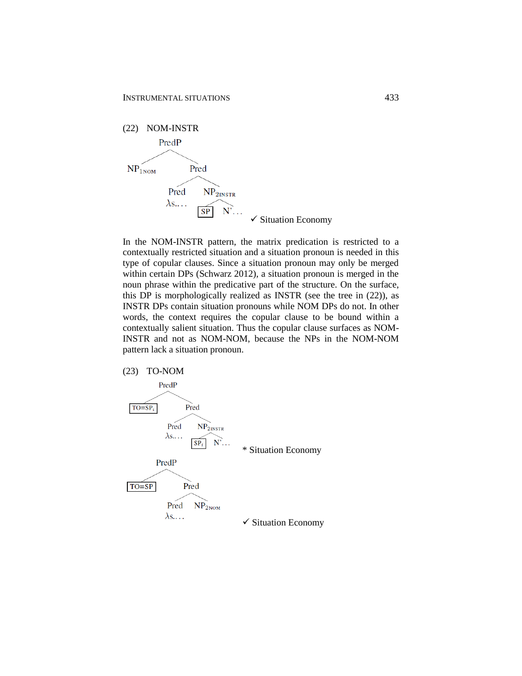

In the NOM-INSTR pattern, the matrix predication is restricted to a contextually restricted situation and a situation pronoun is needed in this type of copular clauses. Since a situation pronoun may only be merged within certain DPs (Schwarz 2012), a situation pronoun is merged in the noun phrase within the predicative part of the structure. On the surface, this DP is morphologically realized as INSTR (see the tree in (22)), as INSTR DPs contain situation pronouns while NOM DPs do not. In other words, the context requires the copular clause to be bound within a contextually salient situation. Thus the copular clause surfaces as NOM-INSTR and not as NOM-NOM, because the NPs in the NOM-NOM pattern lack a situation pronoun.

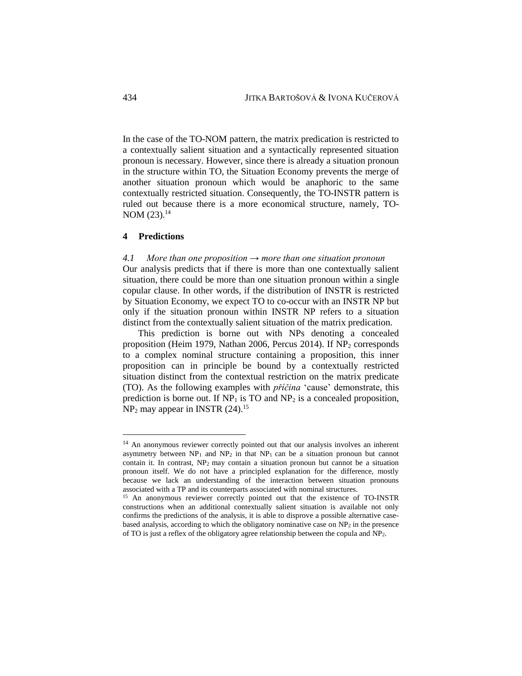In the case of the TO-NOM pattern, the matrix predication is restricted to a contextually salient situation and a syntactically represented situation pronoun is necessary. However, since there is already a situation pronoun in the structure within TO, the Situation Economy prevents the merge of another situation pronoun which would be anaphoric to the same contextually restricted situation. Consequently, the TO-INSTR pattern is ruled out because there is a more economical structure, namely, TO-NOM  $(23).^{14}$ 

#### **4 Predictions**

 $\overline{a}$ 

#### *4.1 More than one proposition → more than one situation pronoun*

Our analysis predicts that if there is more than one contextually salient situation, there could be more than one situation pronoun within a single copular clause. In other words, if the distribution of INSTR is restricted by Situation Economy, we expect TO to co-occur with an INSTR NP but only if the situation pronoun within INSTR NP refers to a situation distinct from the contextually salient situation of the matrix predication.

This prediction is borne out with NPs denoting a concealed proposition (Heim 1979, Nathan 2006, Percus 2014). If  $NP<sub>2</sub>$  corresponds to a complex nominal structure containing a proposition, this inner proposition can in principle be bound by a contextually restricted situation distinct from the contextual restriction on the matrix predicate (TO). As the following examples with *příčina* 'cause' demonstrate, this prediction is borne out. If  $NP_1$  is TO and  $NP_2$  is a concealed proposition,  $NP<sub>2</sub>$  may appear in INSTR (24).<sup>15</sup>

<sup>&</sup>lt;sup>14</sup> An anonymous reviewer correctly pointed out that our analysis involves an inherent asymmetry between  $NP_1$  and  $NP_2$  in that  $NP_1$  can be a situation pronoun but cannot contain it. In contrast, NP<sup>2</sup> may contain a situation pronoun but cannot be a situation pronoun itself. We do not have a principled explanation for the difference, mostly because we lack an understanding of the interaction between situation pronouns associated with a TP and its counterparts associated with nominal structures.

<sup>15</sup> An anonymous reviewer correctly pointed out that the existence of TO-INSTR constructions when an additional contextually salient situation is available not only confirms the predictions of the analysis, it is able to disprove a possible alternative casebased analysis, according to which the obligatory nominative case on  $NP<sub>2</sub>$  in the presence of TO is just a reflex of the obligatory agree relationship between the copula and NP2.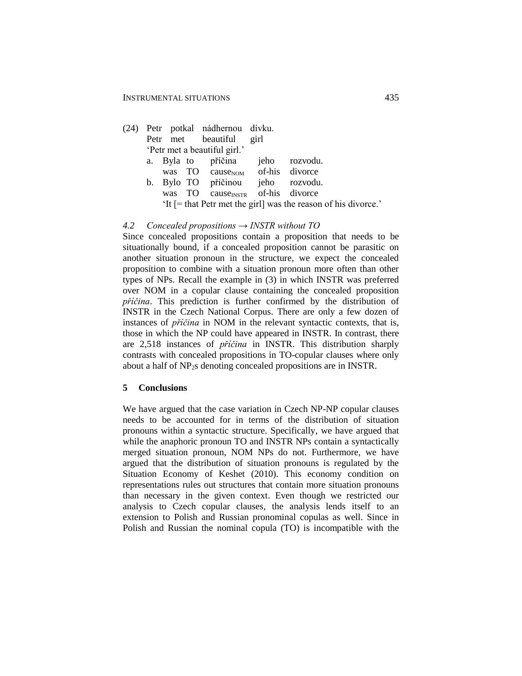- (24) Petr potkal nádhernou dívku. Petr met beautiful girl 'Petr met a beautiful girl.' a. Byla to příčina jeho rozvodu.
	- was TO cause<sub>NOM</sub> of-his divorce b. Bylo TO příčinou jeho rozvodu. was TO cause<sub>INSTR</sub> of-his divorce 'It [= that Petr met the girl] was the reason of his divorce.'

#### *4.2 Concealed propositions → INSTR without TO*

Since concealed propositions contain a proposition that needs to be situationally bound, if a concealed proposition cannot be parasitic on another situation pronoun in the structure, we expect the concealed proposition to combine with a situation pronoun more often than other types of NPs. Recall the example in (3) in which INSTR was preferred over NOM in a copular clause containing the concealed proposition *příčina*. This prediction is further confirmed by the distribution of INSTR in the Czech National Corpus. There are only a few dozen of instances of *příčina* in NOM in the relevant syntactic contexts, that is, those in which the NP could have appeared in INSTR. In contrast, there are 2,518 instances of *příčina* in INSTR. This distribution sharply contrasts with concealed propositions in TO-copular clauses where only about a half of NP2s denoting concealed propositions are in INSTR.

#### **5 Conclusions**

We have argued that the case variation in Czech NP-NP copular clauses needs to be accounted for in terms of the distribution of situation pronouns within a syntactic structure. Specifically, we have argued that while the anaphoric pronoun TO and INSTR NPs contain a syntactically merged situation pronoun, NOM NPs do not. Furthermore, we have argued that the distribution of situation pronouns is regulated by the Situation Economy of Keshet (2010). This economy condition on representations rules out structures that contain more situation pronouns than necessary in the given context. Even though we restricted our analysis to Czech copular clauses, the analysis lends itself to an extension to Polish and Russian pronominal copulas as well. Since in Polish and Russian the nominal copula (TO) is incompatible with the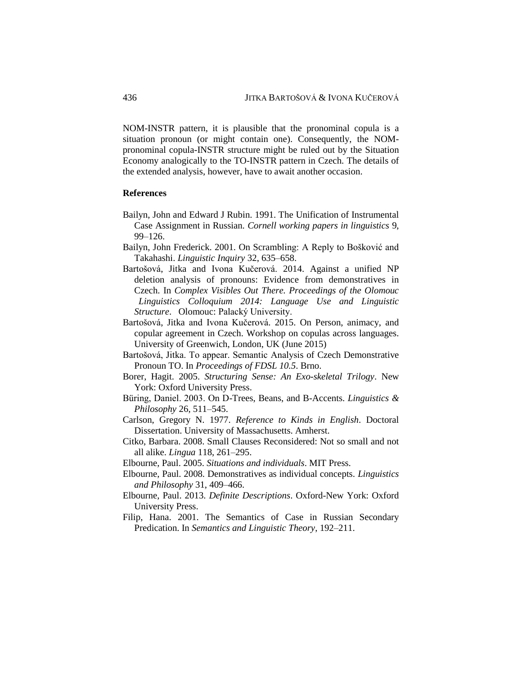NOM-INSTR pattern, it is plausible that the pronominal copula is a situation pronoun (or might contain one). Consequently, the NOMpronominal copula-INSTR structure might be ruled out by the Situation Economy analogically to the TO-INSTR pattern in Czech. The details of the extended analysis, however, have to await another occasion.

#### **References**

- Bailyn, John and Edward J Rubin. 1991. The Unification of Instrumental Case Assignment in Russian. *Cornell working papers in linguistics* 9, 99–126.
- Bailyn, John Frederick. 2001. On Scrambling: A Reply to Bošković and Takahashi. *Linguistic Inquiry* 32, 635–658.
- Bartošová, Jitka and Ivona Kučerová. 2014. Against a unified NP deletion analysis of pronouns: Evidence from demonstratives in Czech. In *Complex Visibles Out There. Proceedings of the Olomouc Linguistics Colloquium 2014: Language Use and Linguistic Structure*. Olomouc: Palacký University.
- Bartošová, Jitka and Ivona Kučerová. 2015. On Person, animacy, and copular agreement in Czech. Workshop on copulas across languages. University of Greenwich, London, UK (June 2015)
- Bartošová, Jitka. To appear. Semantic Analysis of Czech Demonstrative Pronoun TO. In *Proceedings of FDSL 10.5*. Brno.
- Borer, Hagit. 2005. *Structuring Sense: An Exo-skeletal Trilogy*. New York: Oxford University Press.
- Büring, Daniel. 2003. On D-Trees, Beans, and B-Accents. *Linguistics & Philosophy* 26, 511–545.
- Carlson, Gregory N. 1977. *Reference to Kinds in English*. Doctoral Dissertation. University of Massachusetts. Amherst.
- Citko, Barbara. 2008. Small Clauses Reconsidered: Not so small and not all alike. *Lingua* 118, 261–295.
- Elbourne, Paul. 2005. *Situations and individuals*. MIT Press.
- Elbourne, Paul. 2008. Demonstratives as individual concepts. *Linguistics and Philosophy* 31, 409–466.
- Elbourne, Paul. 2013. *Definite Descriptions*. Oxford-New York: Oxford University Press.
- Filip, Hana. 2001. The Semantics of Case in Russian Secondary Predication. In *Semantics and Linguistic Theory*, 192–211.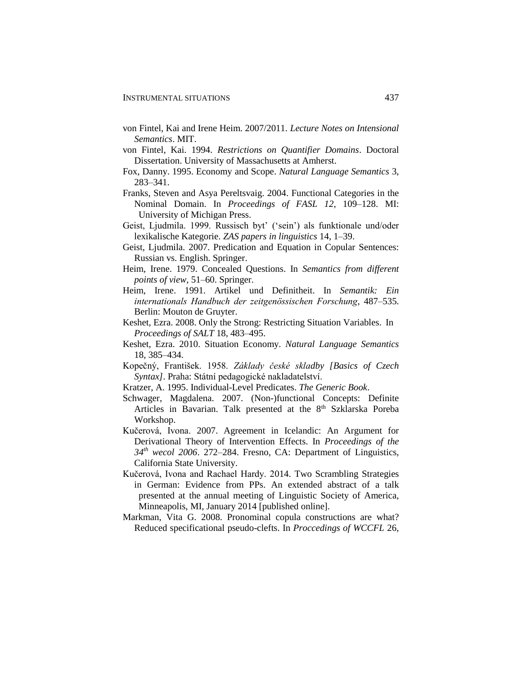- von Fintel, Kai and Irene Heim. 2007/2011. *Lecture Notes on Intensional Semantics*. MIT.
- von Fintel, Kai. 1994. *Restrictions on Quantifier Domains*. Doctoral Dissertation. University of Massachusetts at Amherst.
- Fox, Danny. 1995. Economy and Scope. *Natural Language Semantics* 3, 283–341.
- Franks, Steven and Asya Pereltsvaig. 2004. Functional Categories in the Nominal Domain. In *Proceedings of FASL 12*, 109–128. MI: University of Michigan Press.
- Geist, Ljudmila. 1999. Russisch byt' ('sein') als funktionale und/oder lexikalische Kategorie. *ZAS papers in linguistics* 14, 1–39.
- Geist, Ljudmila. 2007. Predication and Equation in Copular Sentences: Russian vs. English. Springer.
- Heim, Irene. 1979. Concealed Questions. In *Semantics from different points of view*, 51–60. Springer.
- Heim, Irene. 1991. Artikel und Definitheit. In *Semantik: Ein internationals Handbuch der zeitgenössischen Forschung*, 487–535. Berlin: Mouton de Gruyter.
- Keshet, Ezra. 2008. Only the Strong: Restricting Situation Variables. In *Proceedings of SALT* 18, 483–495.
- Keshet, Ezra. 2010. Situation Economy. *Natural Language Semantics* 18, 385–434.
- Kopečný, František. 1958. *Základy české skladby [Basics of Czech Syntax]*. Praha: Státní pedagogické nakladatelství.
- Kratzer, A. 1995. Individual-Level Predicates. *The Generic Book*.
- Schwager, Magdalena. 2007. (Non-)functional Concepts: Definite Articles in Bavarian. Talk presented at the 8<sup>th</sup> Szklarska Poreba Workshop.
- Kučerová, Ivona. 2007. Agreement in Icelandic: An Argument for Derivational Theory of Intervention Effects. In *Proceedings of the 34th wecol 2006*. 272–284. Fresno, CA: Department of Linguistics, California State University.
- Kučerová, Ivona and Rachael Hardy. 2014. Two Scrambling Strategies in German: Evidence from PPs. An extended abstract of a talk presented at the annual meeting of Linguistic Society of America, Minneapolis, MI, January 2014 [published online].
- Markman, Vita G. 2008. Pronominal copula constructions are what? Reduced specificational pseudo-clefts. In *Proccedings of WCCFL* 26,